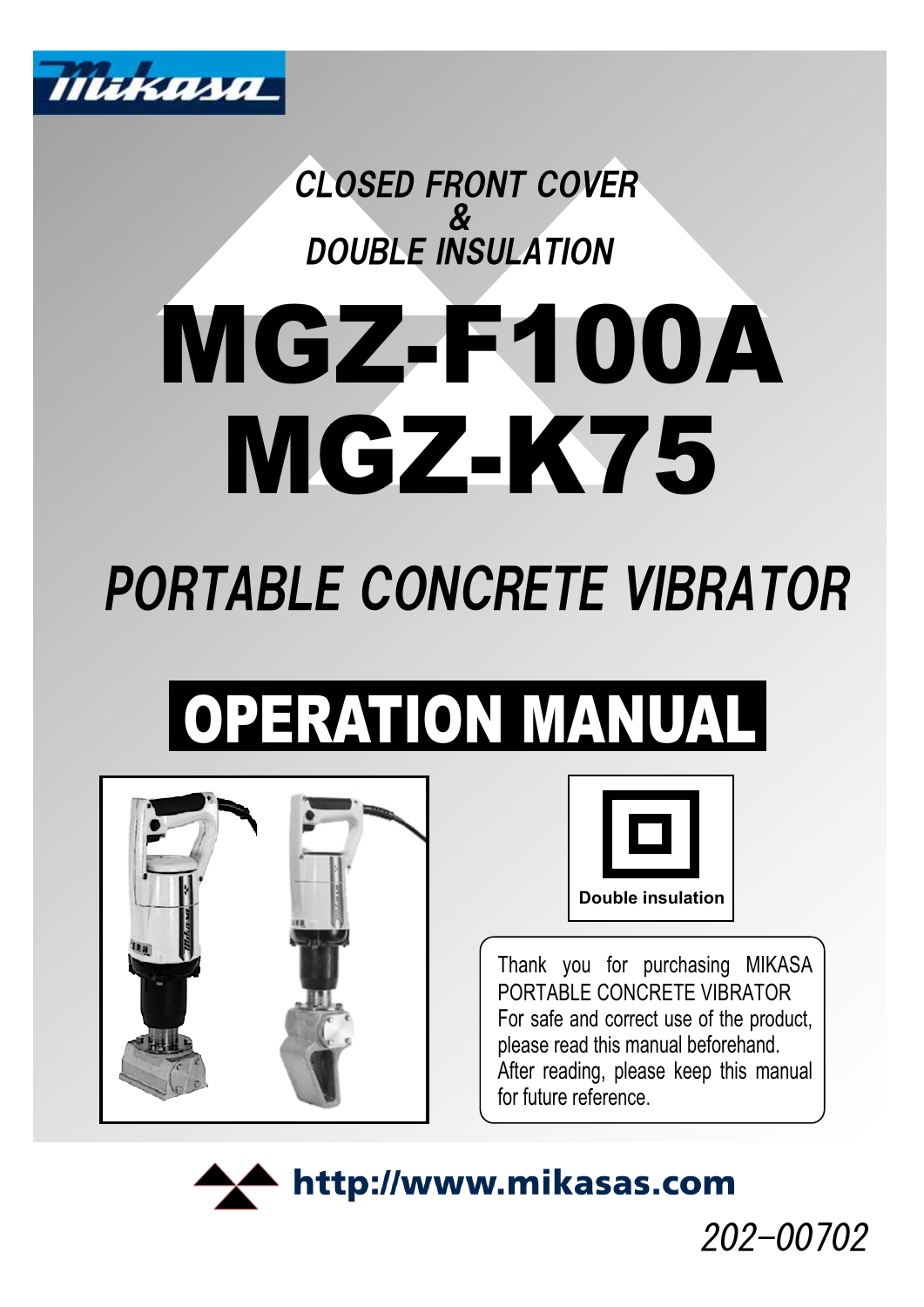

**CLOSED FRONT COVER**  $\boldsymbol{\mathcal{S}}$ DOUBLE INSULATION

# MGZ-F100A MGZ-K75

## PORTABLE CONCRETE VIBRATOR

## OPERATION MANUAL





Thank you for purchasing MIKASA PORTABLE CONCRETE VIBRATOR For safe and correct use of the product, please read this manual beforehand. After reading, please keep this manual for future reference.



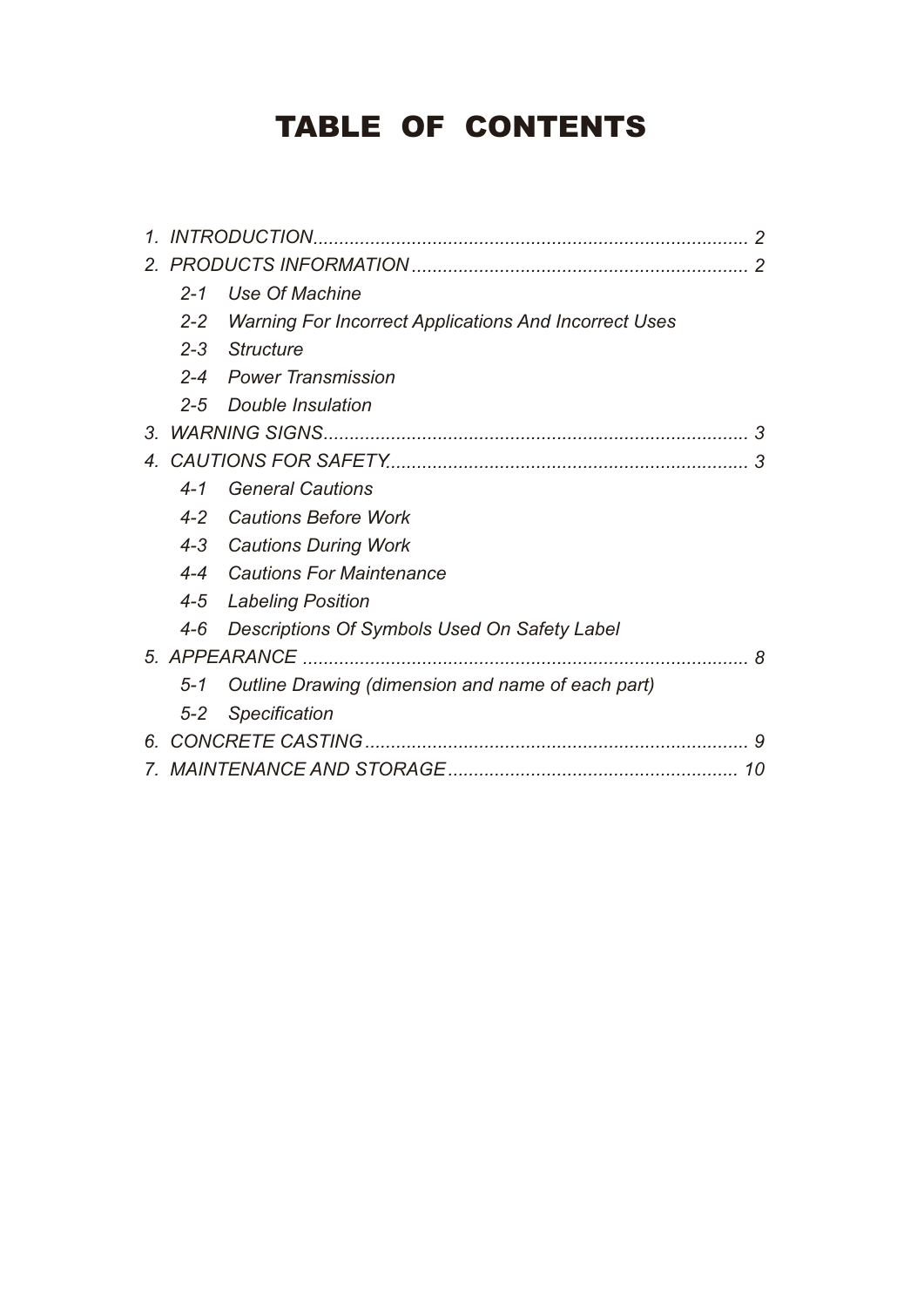## TABLE OF CONTENTS

| $\mathcal{I}_{-}$ |         |                                                              |
|-------------------|---------|--------------------------------------------------------------|
| $\mathcal{P}$     |         |                                                              |
|                   | $2 - 1$ | Use Of Machine                                               |
|                   | $2 - 2$ | <b>Warning For Incorrect Applications And Incorrect Uses</b> |
|                   | $2 - 3$ | Structure                                                    |
|                   | $2 - 4$ | Power Transmission                                           |
|                   | $2 - 5$ | Double Insulation                                            |
| 3.                |         | 3                                                            |
| $\overline{4}$    |         | З                                                            |
|                   | $4 - 1$ | <b>General Cautions</b>                                      |
|                   | $4 - 2$ | <b>Cautions Before Work</b>                                  |
|                   | $4 - 3$ | <b>Cautions During Work</b>                                  |
|                   |         | 4-4 Cautions For Maintenance                                 |
|                   |         | 4-5 Labeling Position                                        |
|                   | $4 - 6$ | Descriptions Of Symbols Used On Safety Label                 |
|                   |         | 8                                                            |
|                   | $5 - 1$ | Outline Drawing (dimension and name of each part)            |
|                   | $5 - 2$ | Specification                                                |
| 6.                |         |                                                              |
|                   |         | 10                                                           |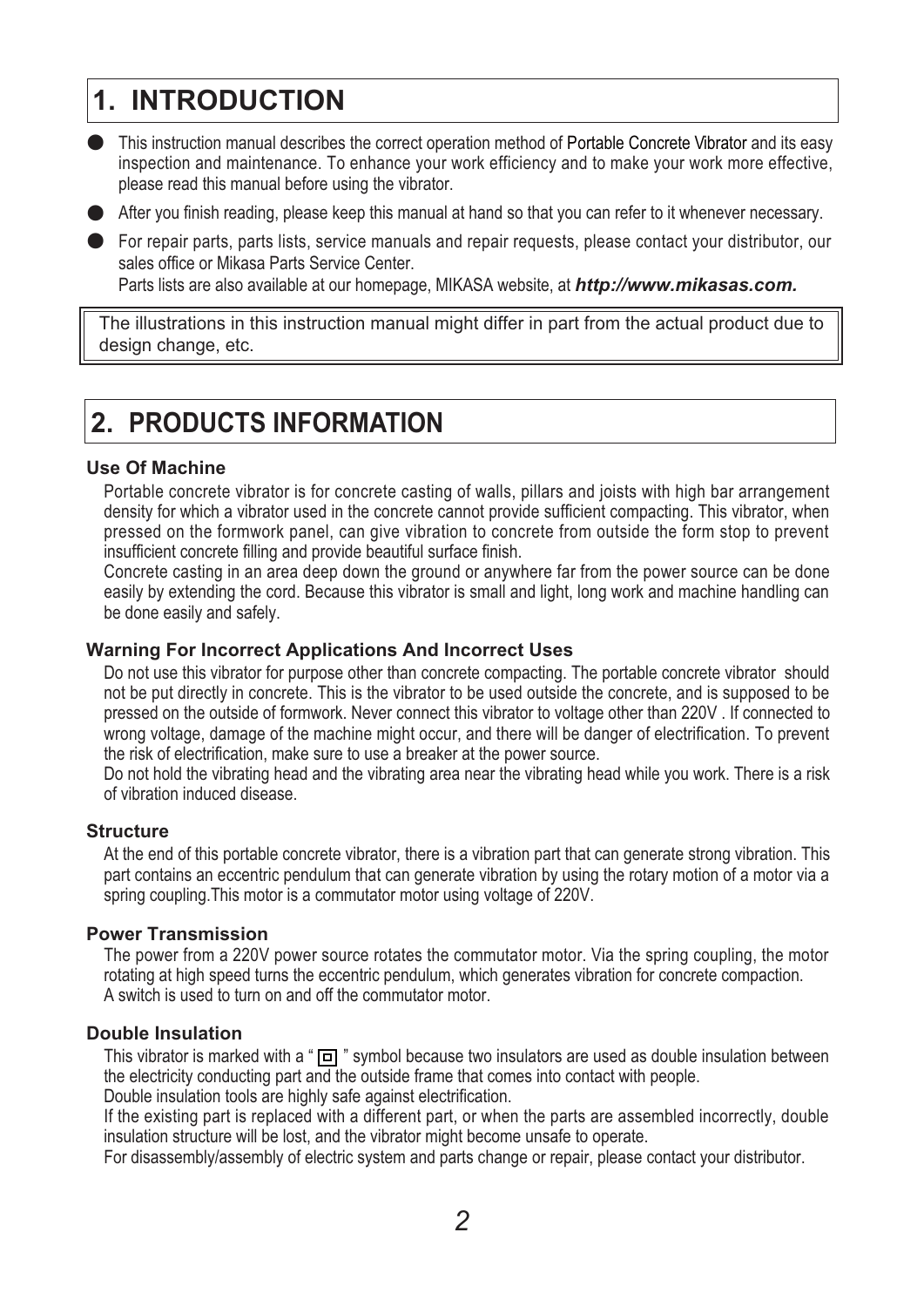## **1. INTRODUCTION**

䖃 This instruction manual describes the correct operation method of Portable Concrete Vibrator and its easy inspection and maintenance. To enhance your work efficiency and to make your work more effective, please read this manual before using the vibrator.

● After you finish reading, please keep this manual at hand so that you can refer to it whenever necessary.

● For repair parts, parts lists, service manuals and repair requests, please contact your distributor, our sales office or Mikasa Parts Service Center. Parts lists are also available at our homepage, MIKASA website, at *http://www.mikasas.com.* 

The illustrations in this instruction manual might differ in part from the actual product due to design change, etc.

## **2. PRODUCTS INFORMATION**

#### **Use Of Machine**

Portable concrete vibrator is for concrete casting of walls, pillars and joists with high bar arrangement density for which a vibrator used in the concrete cannot provide sufficient compacting. This vibrator, when pressed on the formwork panel, can give vibration to concrete from outside the form stop to prevent insufficient concrete filling and provide beautiful surface finish.

Concrete casting in an area deep down the ground or anywhere far from the power source can be done easily by extending the cord. Because this vibrator is small and light, long work and machine handling can be done easily and safely.

#### **Warning For Incorrect Applications And Incorrect Uses**

Do not use this vibrator for purpose other than concrete compacting. The portable concrete vibrator should not be put directly in concrete. This is the vibrator to be used outside the concrete, and is supposed to be pressed on the outside of formwork. Never connect this vibrator to voltage other than 220V . If connected to wrong voltage, damage of the machine might occur, and there will be danger of electrification. To prevent the risk of electrification, make sure to use a breaker at the power source.

Do not hold the vibrating head and the vibrating area near the vibrating head while you work. There is a risk of vibration induced disease.

#### **Structure**

At the end of this portable concrete vibrator, there is a vibration part that can generate strong vibration. This part contains an eccentric pendulum that can generate vibration by using the rotary motion of a motor via a spring coupling.This motor is a commutator motor using voltage of 220V.

#### **Power Transmission**

The power from a 220V power source rotates the commutator motor. Via the spring coupling, the motor rotating at high speed turns the eccentric pendulum, which generates vibration for concrete compaction. A switch is used to turn on and off the commutator motor.

#### **Double Insulation**

This vibrator is marked with a " $\boxed{1}$ " symbol because two insulators are used as double insulation between the electricity conducting part and the outside frame that comes into contact with people.

Double insulation tools are highly safe against electrification.

If the existing part is replaced with a different part, or when the parts are assembled incorrectly, double insulation structure will be lost, and the vibrator might become unsafe to operate.

For disassembly/assembly of electric system and parts change or repair, please contact your distributor.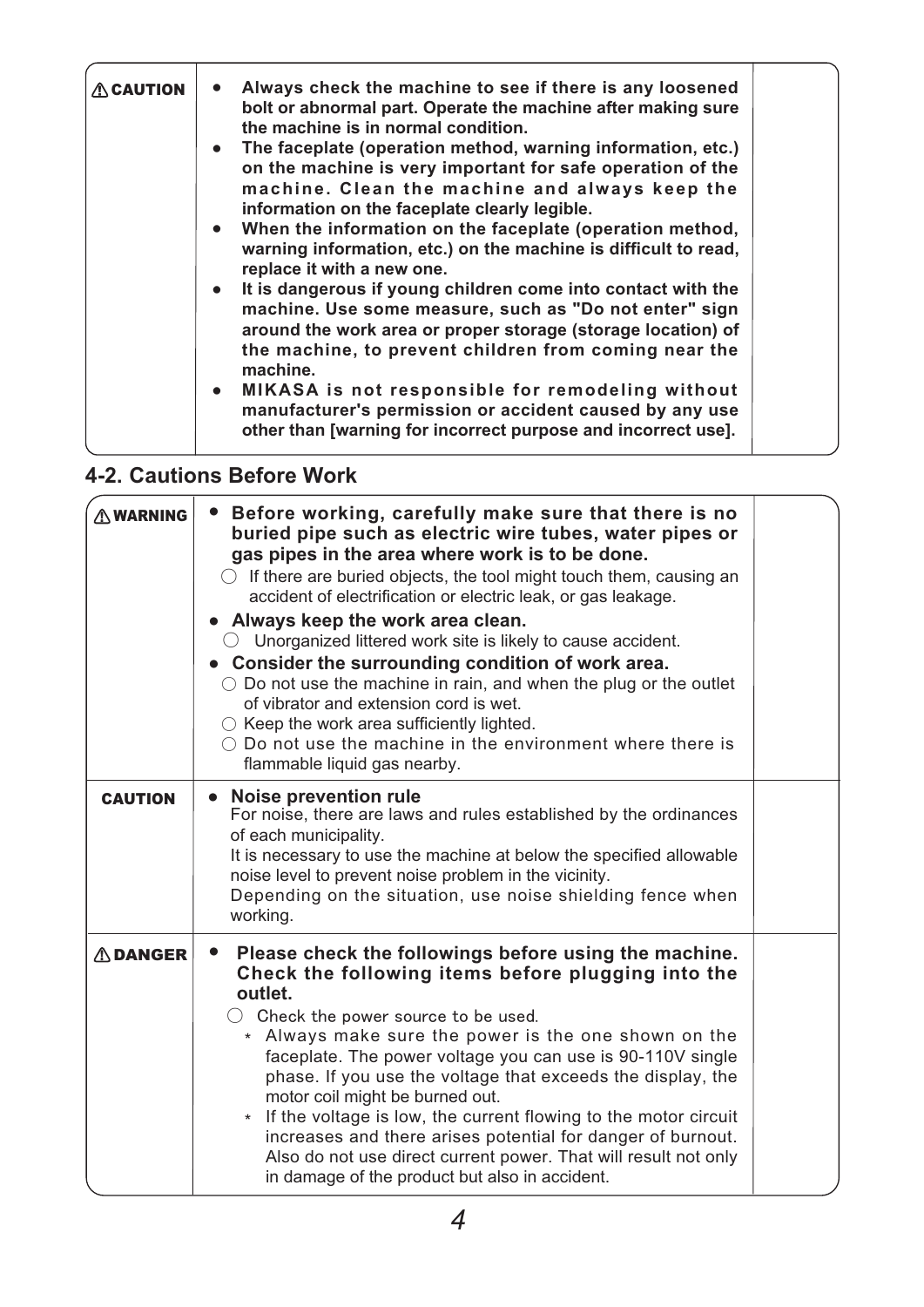| <b>ACAUTION</b> | Always check the machine to see if there is any loosened<br>bolt or abnormal part. Operate the machine after making sure<br>the machine is in normal condition.<br>• The faceplate (operation method, warning information, etc.)<br>on the machine is very important for safe operation of the<br>machine. Clean the machine and always keep the<br>information on the faceplate clearly legible.<br>• When the information on the faceplate (operation method,<br>warning information, etc.) on the machine is difficult to read,<br>replace it with a new one.<br>• It is dangerous if young children come into contact with the<br>machine. Use some measure, such as "Do not enter" sign<br>around the work area or proper storage (storage location) of<br>the machine, to prevent children from coming near the<br>machine. |  |
|-----------------|-----------------------------------------------------------------------------------------------------------------------------------------------------------------------------------------------------------------------------------------------------------------------------------------------------------------------------------------------------------------------------------------------------------------------------------------------------------------------------------------------------------------------------------------------------------------------------------------------------------------------------------------------------------------------------------------------------------------------------------------------------------------------------------------------------------------------------------|--|
|                 | • MIKASA is not responsible for remodeling without<br>manufacturer's permission or accident caused by any use<br>other than [warning for incorrect purpose and incorrect use].                                                                                                                                                                                                                                                                                                                                                                                                                                                                                                                                                                                                                                                    |  |

### **4-2. Cautions Before Work**

| <b>AWARNING</b> | Before working, carefully make sure that there is no<br>$\bullet$<br>buried pipe such as electric wire tubes, water pipes or<br>gas pipes in the area where work is to be done.<br>$\bigcirc$ If there are buried objects, the tool might touch them, causing an<br>accident of electrification or electric leak, or gas leakage.<br>• Always keep the work area clean.<br>$\bigcirc$ Unorganized littered work site is likely to cause accident.<br>• Consider the surrounding condition of work area.<br>$\circ$ Do not use the machine in rain, and when the plug or the outlet<br>of vibrator and extension cord is wet.<br>$\circlearrowright$ Keep the work area sufficiently lighted.<br>$\bigcirc$ Do not use the machine in the environment where there is<br>flammable liquid gas nearby. |  |
|-----------------|-----------------------------------------------------------------------------------------------------------------------------------------------------------------------------------------------------------------------------------------------------------------------------------------------------------------------------------------------------------------------------------------------------------------------------------------------------------------------------------------------------------------------------------------------------------------------------------------------------------------------------------------------------------------------------------------------------------------------------------------------------------------------------------------------------|--|
| <b>CAUTION</b>  | <b>Noise prevention rule</b><br>$\bullet$<br>For noise, there are laws and rules established by the ordinances<br>of each municipality.<br>It is necessary to use the machine at below the specified allowable<br>noise level to prevent noise problem in the vicinity.<br>Depending on the situation, use noise shielding fence when<br>working.                                                                                                                                                                                                                                                                                                                                                                                                                                                   |  |
| <b>ADANGER</b>  | Please check the followings before using the machine.<br>$\bullet$<br>Check the following items before plugging into the<br>outlet.<br>$\bigcirc$ Check the power source to be used.<br>* Always make sure the power is the one shown on the<br>faceplate. The power voltage you can use is 90-110V single<br>phase. If you use the voltage that exceeds the display, the<br>motor coil might be burned out.<br>If the voltage is low, the current flowing to the motor circuit<br>increases and there arises potential for danger of burnout.<br>Also do not use direct current power. That will result not only<br>in damage of the product but also in accident.                                                                                                                                 |  |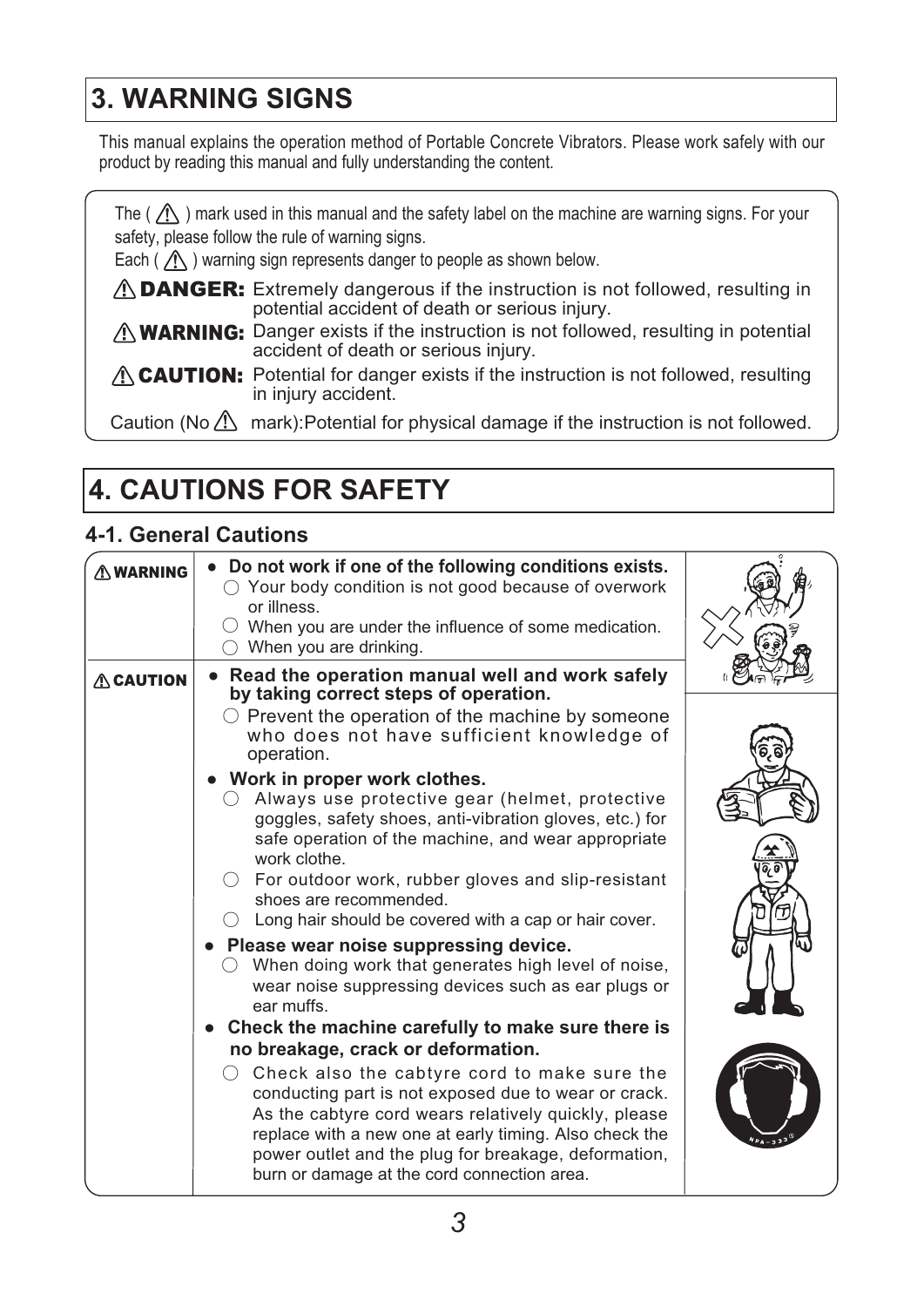## **3. WARNING SIGNS**

This manual explains the operation method of Portable Concrete Vibrators. Please work safely with our product by reading this manual and fully understanding the content.

The (  $\bigwedge$  ) mark used in this manual and the safety label on the machine are warning signs. For your safety, please follow the rule of warning signs.

Each ( $\langle \mathcal{D} \rangle$  ) warning sign represents danger to people as shown below.

- $\triangle$  DANGER: Extremely dangerous if the instruction is not followed, resulting in potential accident of death or serious injury.
- **WARNING:** Danger exists if the instruction is not followed, resulting in potential accident of death or serious injury.
- **ALGENTION:** Potential for danger exists if the instruction is not followed, resulting in injury accident.

Caution (No  $\langle \cdot \rangle$  mark): Potential for physical damage if the instruction is not followed.

## **4. CAUTIONS FOR SAFETY**

#### **4-1. General Cautions**

| $\wedge$ WARNING | • Do not work if one of the following conditions exists.<br>$\bigcirc$ Your body condition is not good because of overwork<br>or illness.<br>$\bigcirc$ When you are under the influence of some medication.<br>When you are drinking.                                                                                                                      |  |
|------------------|-------------------------------------------------------------------------------------------------------------------------------------------------------------------------------------------------------------------------------------------------------------------------------------------------------------------------------------------------------------|--|
| <b>ACAUTION</b>  | Read the operation manual well and work safely<br>$\bullet$<br>by taking correct steps of operation.<br>$\bigcirc$ Prevent the operation of the machine by someone<br>who does not have sufficient knowledge of<br>operation.                                                                                                                               |  |
|                  | • Work in proper work clothes.<br>Always use protective gear (helmet, protective<br>goggles, safety shoes, anti-vibration gloves, etc.) for<br>safe operation of the machine, and wear appropriate<br>work clothe.<br>For outdoor work, rubber gloves and slip-resistant<br>shoes are recommended.<br>Long hair should be covered with a cap or hair cover. |  |
|                  | Please wear noise suppressing device.<br>When doing work that generates high level of noise,<br>wear noise suppressing devices such as ear plugs or<br>ear muffs.                                                                                                                                                                                           |  |
|                  | Check the machine carefully to make sure there is<br>no breakage, crack or deformation.                                                                                                                                                                                                                                                                     |  |
|                  | Check also the cabtyre cord to make sure the<br>conducting part is not exposed due to wear or crack.<br>As the cabtyre cord wears relatively quickly, please<br>replace with a new one at early timing. Also check the<br>power outlet and the plug for breakage, deformation,<br>burn or damage at the cord connection area.                               |  |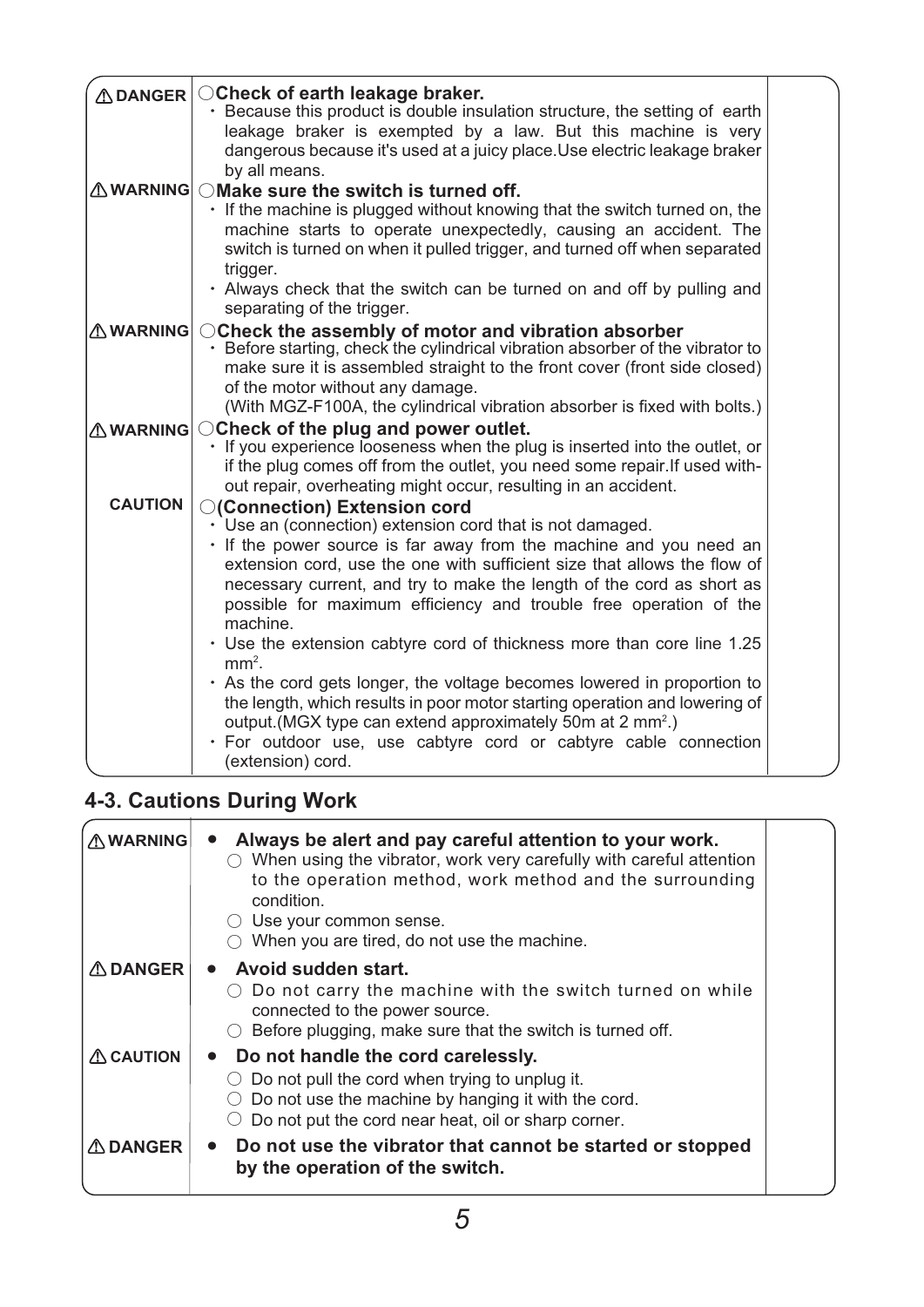| <b>ADANGER</b>  | ○ Check of earth leakage braker.                                                                                                                     |  |
|-----------------|------------------------------------------------------------------------------------------------------------------------------------------------------|--|
|                 | • Because this product is double insulation structure, the setting of earth<br>leakage braker is exempted by a law. But this machine is very         |  |
|                 | dangerous because it's used at a juicy place. Use electric leakage braker                                                                            |  |
|                 | by all means.                                                                                                                                        |  |
|                 | $\triangle$ WARNING OMake sure the switch is turned off.                                                                                             |  |
|                 | . If the machine is plugged without knowing that the switch turned on, the<br>machine starts to operate unexpectedly, causing an accident. The       |  |
|                 | switch is turned on when it pulled trigger, and turned off when separated                                                                            |  |
|                 | trigger.                                                                                                                                             |  |
|                 | • Always check that the switch can be turned on and off by pulling and                                                                               |  |
|                 | separating of the trigger.                                                                                                                           |  |
| <b>AWARNING</b> | ○ Check the assembly of motor and vibration absorber<br>• Before starting, check the cylindrical vibration absorber of the vibrator to               |  |
|                 |                                                                                                                                                      |  |
|                 | make sure it is assembled straight to the front cover (front side closed)                                                                            |  |
|                 | of the motor without any damage.<br>(With MGZ-F100A, the cylindrical vibration absorber is fixed with bolts.)                                        |  |
| <b>AWARNING</b> | ○ Check of the plug and power outlet.                                                                                                                |  |
|                 | · If you experience looseness when the plug is inserted into the outlet, or                                                                          |  |
|                 | if the plug comes off from the outlet, you need some repair. If used with-                                                                           |  |
|                 | out repair, overheating might occur, resulting in an accident.                                                                                       |  |
| <b>CAUTION</b>  | ○(Connection) Extension cord                                                                                                                         |  |
|                 | $\cdot$ Use an (connection) extension cord that is not damaged.                                                                                      |  |
|                 | . If the power source is far away from the machine and you need an<br>extension cord, use the one with sufficient size that allows the flow of       |  |
|                 | necessary current, and try to make the length of the cord as short as                                                                                |  |
|                 | possible for maximum efficiency and trouble free operation of the                                                                                    |  |
|                 | machine.                                                                                                                                             |  |
|                 | • Use the extension cabtyre cord of thickness more than core line 1.25                                                                               |  |
|                 | $mm2$ .                                                                                                                                              |  |
|                 | • As the cord gets longer, the voltage becomes lowered in proportion to                                                                              |  |
|                 | the length, which results in poor motor starting operation and lowering of<br>output. (MGX type can extend approximately 50m at 2 mm <sup>2</sup> .) |  |
|                 | · For outdoor use, use cabtyre cord or cabtyre cable connection                                                                                      |  |
|                 | (extension) cord.                                                                                                                                    |  |

### **4-3. Cautions During Work**

| <b>AWARNING</b>     | Always be alert and pay careful attention to your work.<br>When using the vibrator, work very carefully with careful attention<br>to the operation method, work method and the surrounding<br>condition.<br>Use your common sense.<br>When you are tired, do not use the machine. |  |
|---------------------|-----------------------------------------------------------------------------------------------------------------------------------------------------------------------------------------------------------------------------------------------------------------------------------|--|
| <b>ADANGER</b>      | Avoid sudden start.<br>Do not carry the machine with the switch turned on while<br>connected to the power source.<br>Before plugging, make sure that the switch is turned off.                                                                                                    |  |
| $\triangle$ CAUTION | Do not handle the cord carelessly.<br>$\bullet$<br>Do not pull the cord when trying to unplug it.<br>Do not use the machine by hanging it with the cord.<br>Do not put the cord near heat, oil or sharp corner.                                                                   |  |
| <b>△ DANGER</b>     | Do not use the vibrator that cannot be started or stopped<br>$\bullet$<br>by the operation of the switch.                                                                                                                                                                         |  |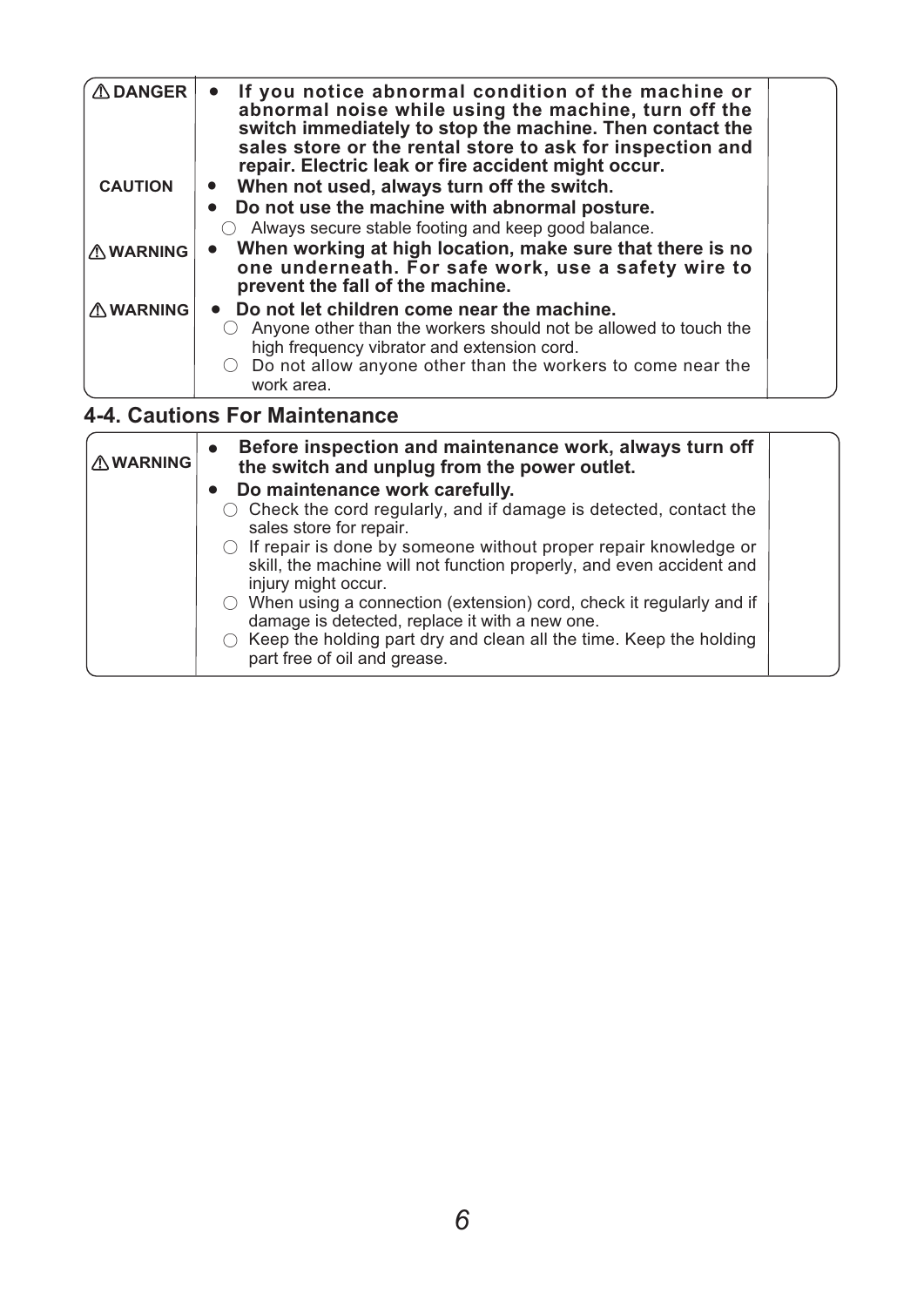| $\triangle$ DANGER<br><b>CAUTION</b> | If you notice abnormal condition of the machine or<br>abnormal noise while using the machine, turn off the<br>switch immediately to stop the machine. Then contact the<br>sales store or the rental store to ask for inspection and<br>repair. Electric leak or fire accident might occur.<br>When not used, always turn off the switch. |  |
|--------------------------------------|------------------------------------------------------------------------------------------------------------------------------------------------------------------------------------------------------------------------------------------------------------------------------------------------------------------------------------------|--|
|                                      | Do not use the machine with abnormal posture.<br>Always secure stable footing and keep good balance.                                                                                                                                                                                                                                     |  |
| <b>AWARNING</b>                      | When working at high location, make sure that there is no<br>one underneath. For safe work, use a safety wire to<br>prevent the fall of the machine.                                                                                                                                                                                     |  |
| <b>AWARNING</b>                      | Do not let children come near the machine.<br>Anyone other than the workers should not be allowed to touch the<br>high frequency vibrator and extension cord.<br>Do not allow anyone other than the workers to come near the<br>work area.                                                                                               |  |
|                                      | <b>4-4. Cautions For Maintenance</b>                                                                                                                                                                                                                                                                                                     |  |
| <b>AWARNING</b>                      | Before inspection and maintenance work, always turn off<br>the switch and unplug from the power outlet.                                                                                                                                                                                                                                  |  |

| I <u>∕'\</u> WARNING | the switch and unplug from the power outlet.                                                                                                                           |  |
|----------------------|------------------------------------------------------------------------------------------------------------------------------------------------------------------------|--|
|                      | • Do maintenance work carefully.                                                                                                                                       |  |
|                      | Check the cord regularly, and if damage is detected, contact the<br>sales store for repair.                                                                            |  |
|                      | $\circ$ If repair is done by someone without proper repair knowledge or<br>skill, the machine will not function properly, and even accident and<br>injury might occur. |  |
|                      | $\circlearrowright$ When using a connection (extension) cord, check it regularly and if<br>damage is detected, replace it with a new one.                              |  |
|                      | Keep the holding part dry and clean all the time. Keep the holding<br>part free of oil and grease.                                                                     |  |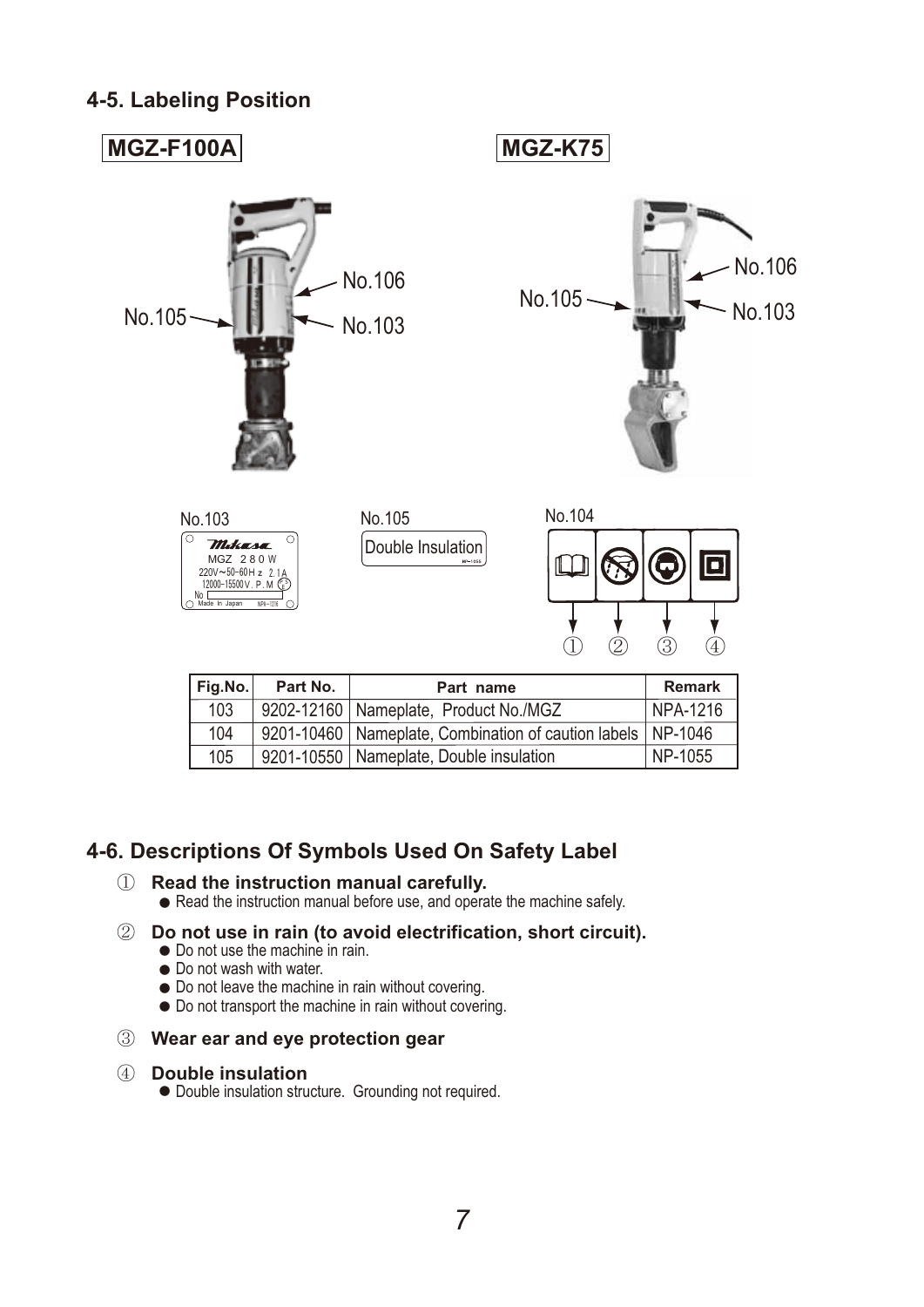#### **4-5. Labeling Position**



| Fig.No. $ $ | Part No.                                            | Part name                                                       | <b>Remark</b> |
|-------------|-----------------------------------------------------|-----------------------------------------------------------------|---------------|
| 103         | NPA-1216<br>9202-12160   Nameplate, Product No./MGZ |                                                                 |               |
| 104         |                                                     | 9201-10460   Nameplate, Combination of caution labels   NP-1046 |               |
| 105         |                                                     | 9201-10550   Nameplate, Double insulation                       | NP-1055       |

#### **4-6. Descriptions Of Symbols Used On Safety Label**

#### 䐟䚷䚷 **Read the instruction manual carefully.** Read the instruction manual before use, and operate the machine safely.

- 䐠 **Do not use in rain (to avoid electrification, short circuit).** Do not use the machine in rain. Do not wash with water. Do not leave the machine in rain without covering. Do not transport the machine in rain without covering.
- 䐡䚷 **Wear ear and eye protection gear**

#### 䐢䚷 **Double insulation**

Double insulation structure. Grounding not required.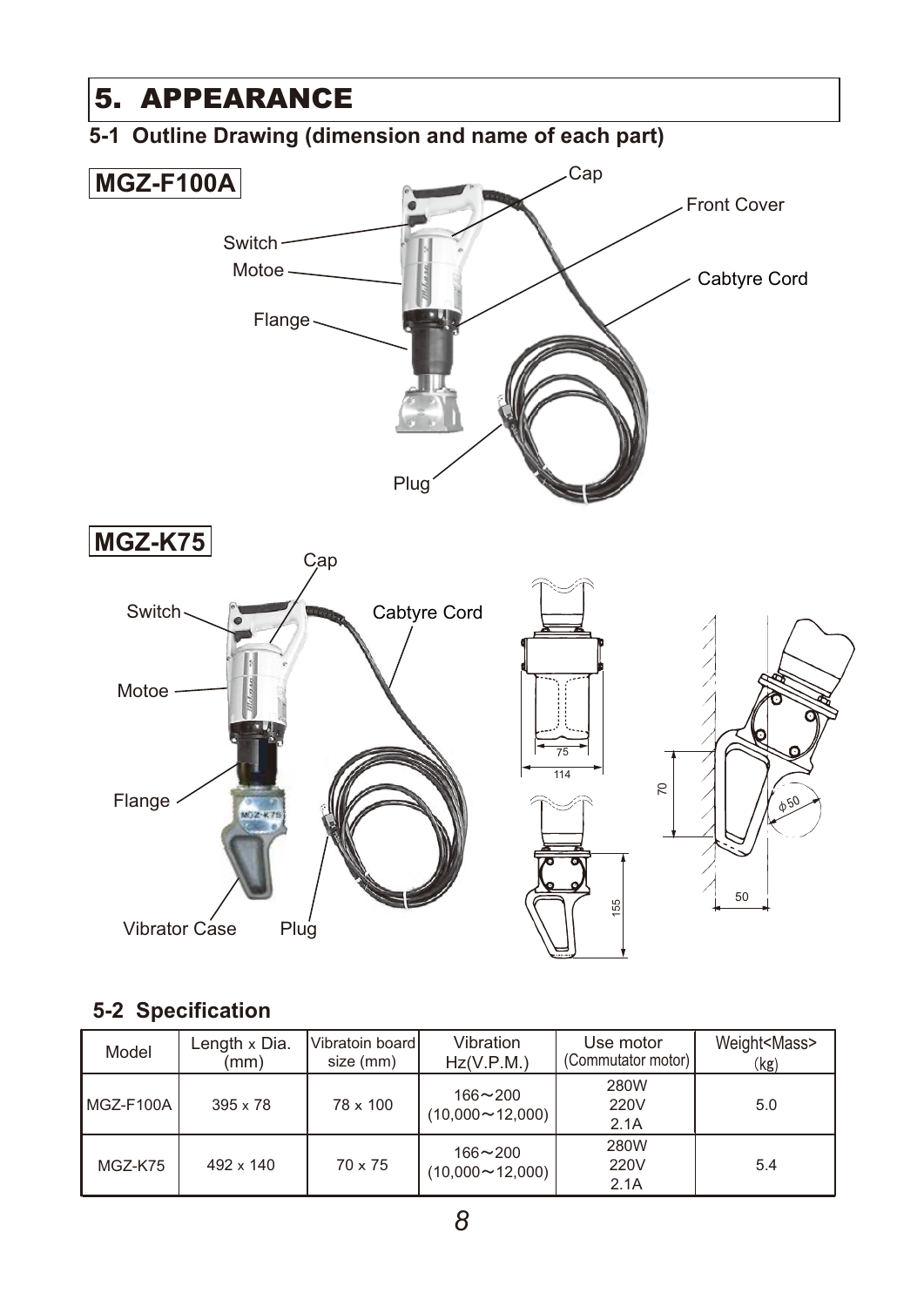

#### **5-2 Specification**

| Model      | Length x Dia.<br>mm) | Vibratoin board<br>size (mm) | Vibration<br>Hz(V.P.M.)               | Use motor<br>(Commutator motor) | Weight <mass><br/>(kg)</mass> |
|------------|----------------------|------------------------------|---------------------------------------|---------------------------------|-------------------------------|
| MGZ-F100Al | $395 \times 78$      | $78 \times 100$              | $166 - 200$<br>$(10,000 \sim 12,000)$ | 280W<br>220V<br>2.1A            | 5.0                           |
| MGZ-K75    | $492 \times 140$     | $70 \times 75$               | $166 - 200$<br>$(10,000 \sim 12,000)$ | 280W<br>220V<br>2.1A            | 5.4                           |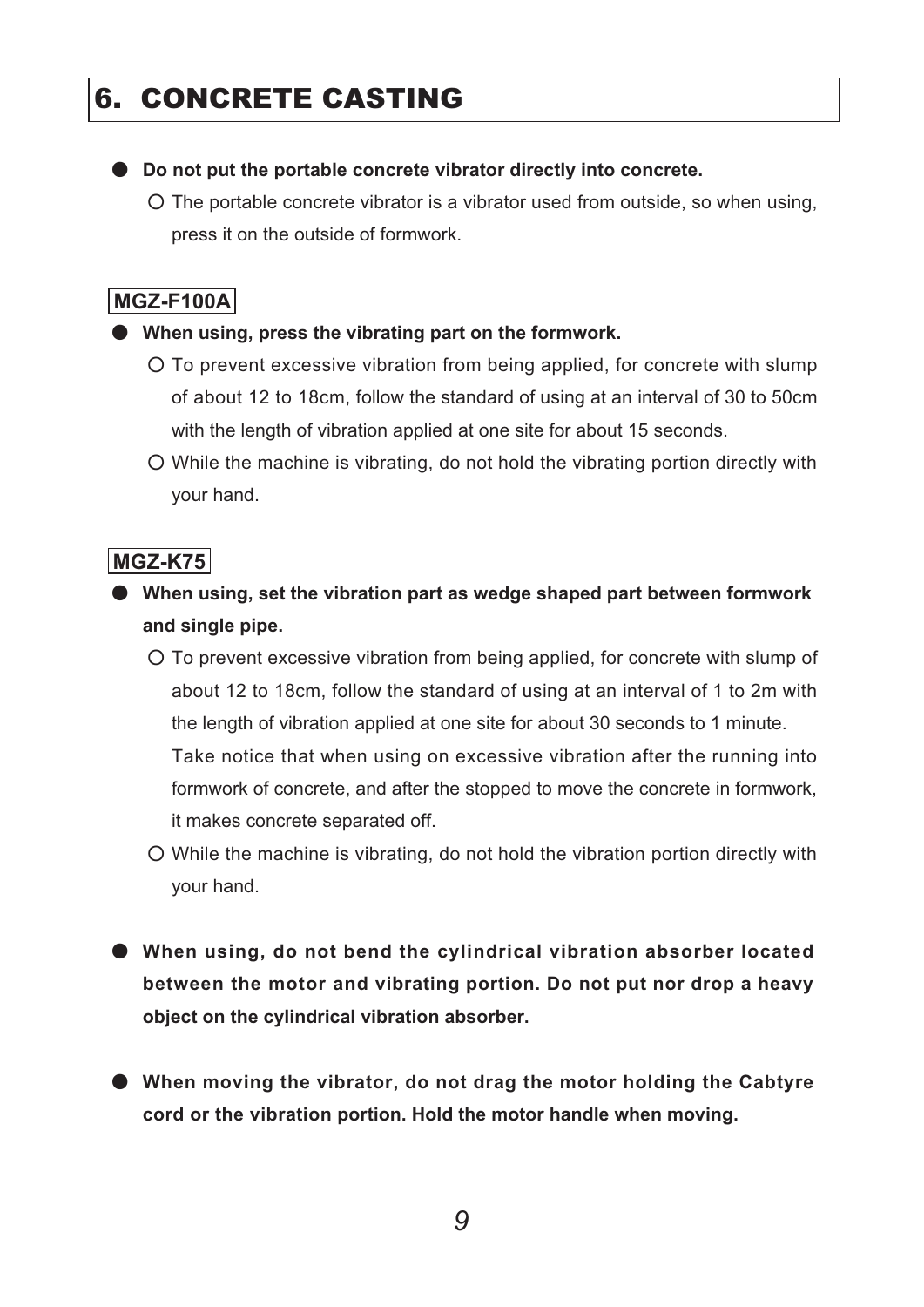## 6. CONCRETE CASTING

#### **Do not put the portable concrete vibrator directly into concrete.** ە

The portable concrete vibrator is a vibrator used from outside, so when using, ۑ press it on the outside of formwork.

#### **MGZ-F100A**

#### **When using, press the vibrating part on the formwork.** ە

- To prevent excessive vibration from being applied, for concrete with slump ۑ of about 12 to 18cm, follow the standard of using at an interval of 30 to 50cm with the length of vibration applied at one site for about 15 seconds.
- While the machine is vibrating, do not hold the vibrating portion directly with ۑ your hand.

#### **MGZ-K75**

- **When using, set the vibration part as wedge shaped part between formwork** ە **and single pipe.**
	- To prevent excessive vibration from being applied, for concrete with slump of ۑ about 12 to 18cm, follow the standard of using at an interval of 1 to 2m with the length of vibration applied at one site for about 30 seconds to 1 minute. Take notice that when using on excessive vibration after the running into formwork of concrete, and after the stopped to move the concrete in formwork, it makes concrete separated off.
	- While the machine is vibrating, do not hold the vibration portion directly with ۑ your hand.
- **When using, do not bend the cylindrical vibration absorber located**  ە **between the motor and vibrating portion. Do not put nor drop a heavy object on the cylindrical vibration absorber.**
- **When moving the vibrator, do not drag the motor holding the Cabtyre**  ە **cord or the vibration portion. Hold the motor handle when moving.**

*9*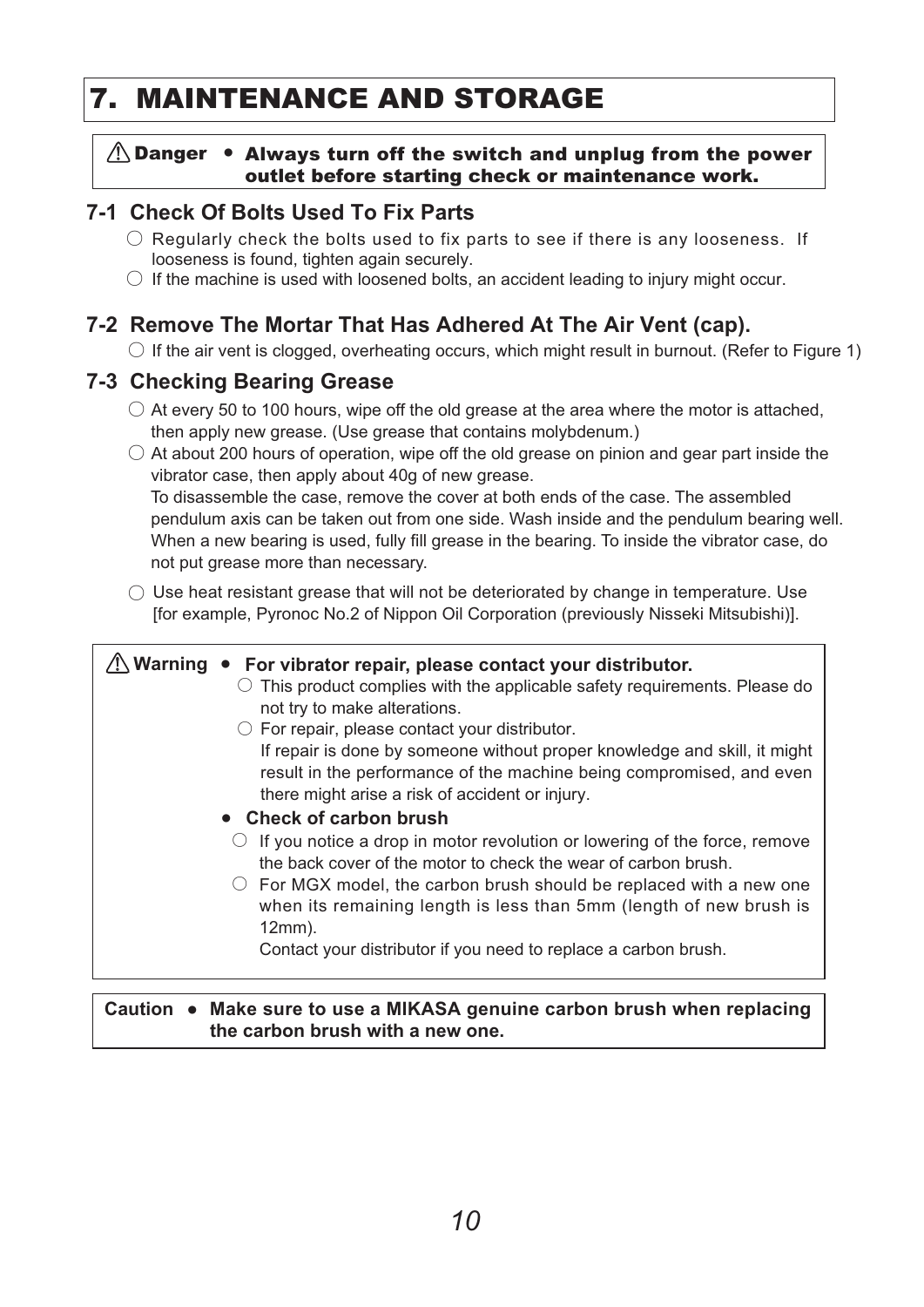## 7. MAINTENANCE AND STORAGE

#### $\bigwedge$  Danger • Always turn off the switch and unplug from the power outlet before starting check or maintenance work.

#### **7-1 Check Of Bolts Used To Fix Parts**

- $\bigcirc$  Regularly check the bolts used to fix parts to see if there is any looseness. If looseness is found, tighten again securely.
- $\bigcirc$  If the machine is used with loosened bolts, an accident leading to injury might occur.

#### **7-2 Remove The Mortar That Has Adhered At The Air Vent (cap).**

 $\bigcirc$  If the air vent is clogged, overheating occurs, which might result in burnout. (Refer to Figure 1)

#### **7-3 Checking Bearing Grease**

- $\circ$  At every 50 to 100 hours, wipe off the old grease at the area where the motor is attached, then apply new grease. (Use grease that contains molybdenum.)
- $\circlearrowright$  At about 200 hours of operation, wipe off the old grease on pinion and gear part inside the vibrator case, then apply about 40g of new grease.

 To disassemble the case, remove the cover at both ends of the case. The assembled pendulum axis can be taken out from one side. Wash inside and the pendulum bearing well. When a new bearing is used, fully fill grease in the bearing. To inside the vibrator case, do not put grease more than necessary.

 $\bigcirc$  Use heat resistant grease that will not be deteriorated by change in temperature. Use [for example, Pyronoc No.2 of Nippon Oil Corporation (previously Nisseki Mitsubishi)].

#### 䟿㻌**Warning** ● 䚷㻌 **For vibrator repair, please contact your distributor.**   $\circlearrowright$  This product complies with the applicable safety requirements. Please do  $\circlearrowright$  For repair, please contact your distributor. ● 䚷㻌 **Check of carbon brush**   $\circlearrowright$  If you notice a drop in motor revolution or lowering of the force, remove  $\circlearrowright$  For MGX model, the carbon brush should be replaced with a new one not try to make alterations. If repair is done by someone without proper knowledge and skill, it might result in the performance of the machine being compromised, and even there might arise a risk of accident or injury. the back cover of the motor to check the wear of carbon brush. when its remaining length is less than 5mm (length of new brush is 12mm). Contact your distributor if you need to replace a carbon brush.

#### Caution ● Make sure to use a MIKASA genuine carbon brush when replacing **the carbon brush with a new one.**